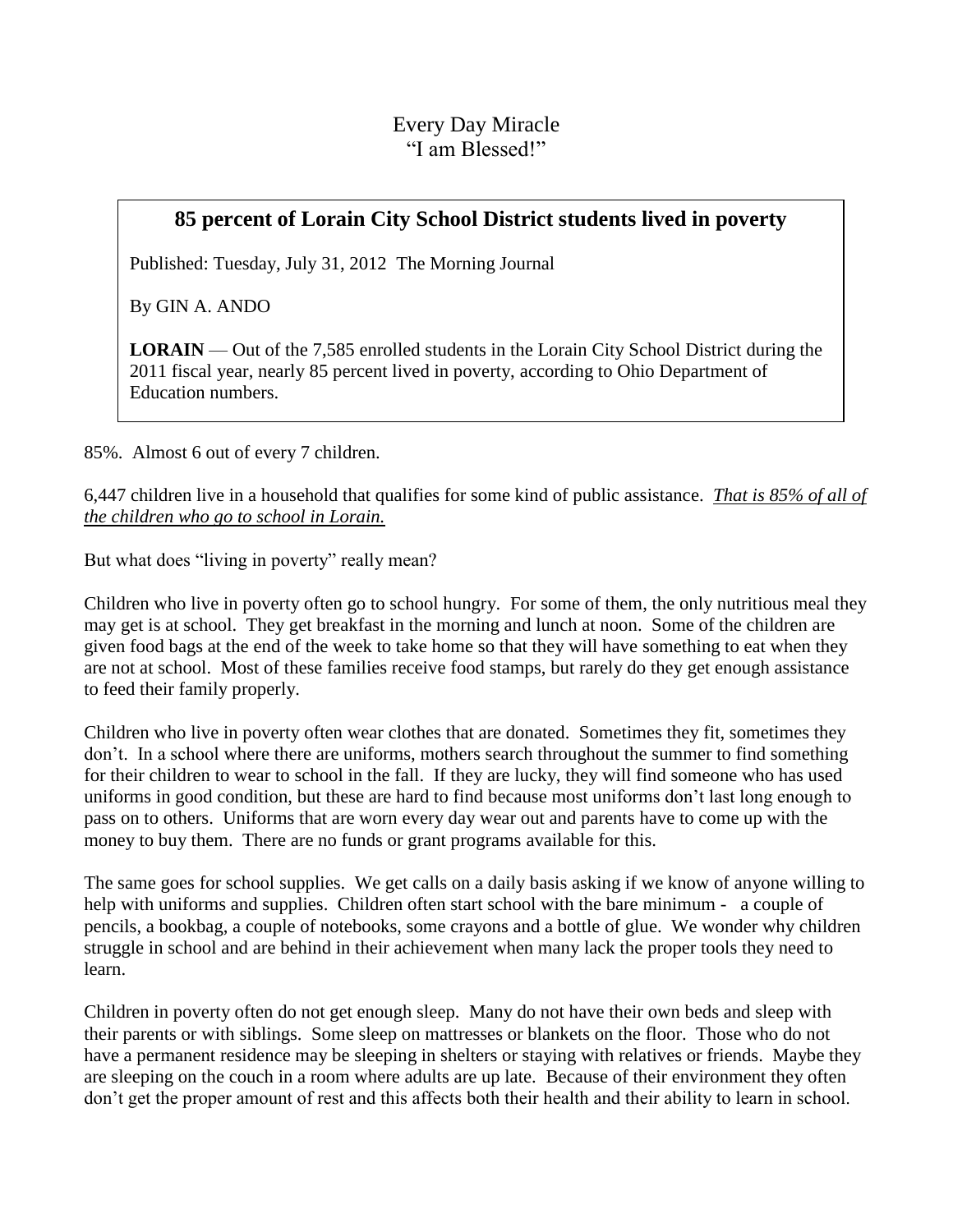## **85 percent of Lorain City School District students lived in poverty**

Published: Tuesday, July 31, 2012 The Morning Journal

By GIN A. ANDO

**LORAIN** — Out of the 7,585 enrolled students in the Lorain City School District during the 2011 fiscal year, nearly 85 percent lived in poverty, according to Ohio Department of Education numbers.

85%. Almost 6 out of every 7 children.

6,447 children live in a household that qualifies for some kind of public assistance. *That is 85% of all of the children who go to school in Lorain.*

But what does "living in poverty" really mean?

Children who live in poverty often go to school hungry. For some of them, the only nutritious meal they may get is at school. They get breakfast in the morning and lunch at noon. Some of the children are given food bags at the end of the week to take home so that they will have something to eat when they are not at school. Most of these families receive food stamps, but rarely do they get enough assistance to feed their family properly.

Children who live in poverty often wear clothes that are donated. Sometimes they fit, sometimes they don't. In a school where there are uniforms, mothers search throughout the summer to find something for their children to wear to school in the fall. If they are lucky, they will find someone who has used uniforms in good condition, but these are hard to find because most uniforms don't last long enough to pass on to others. Uniforms that are worn every day wear out and parents have to come up with the money to buy them. There are no funds or grant programs available for this.

The same goes for school supplies. We get calls on a daily basis asking if we know of anyone willing to help with uniforms and supplies. Children often start school with the bare minimum - a couple of pencils, a bookbag, a couple of notebooks, some crayons and a bottle of glue. We wonder why children struggle in school and are behind in their achievement when many lack the proper tools they need to learn.

Children in poverty often do not get enough sleep. Many do not have their own beds and sleep with their parents or with siblings. Some sleep on mattresses or blankets on the floor. Those who do not have a permanent residence may be sleeping in shelters or staying with relatives or friends. Maybe they are sleeping on the couch in a room where adults are up late. Because of their environment they often don't get the proper amount of rest and this affects both their health and their ability to learn in school.